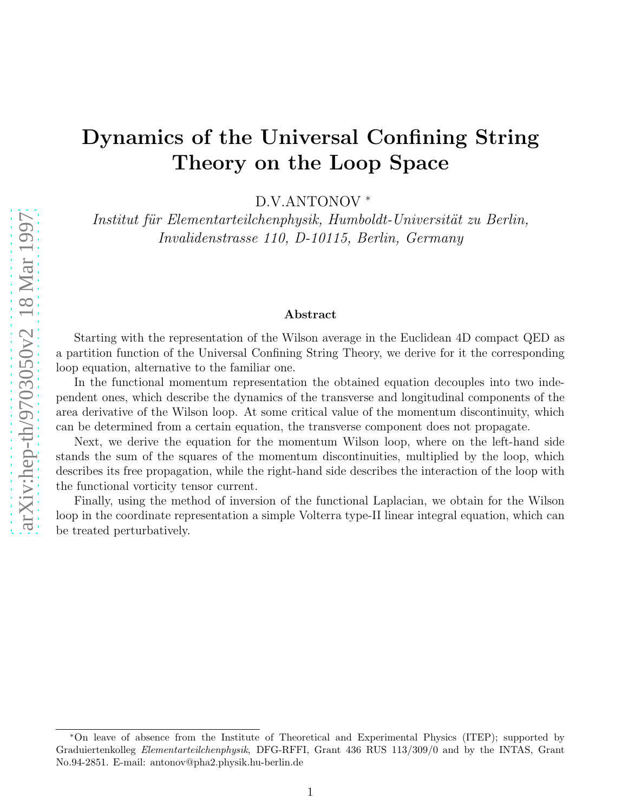# Dynamics of the Universal Confining String Theory on the Loop Space

D.V.ANTONOV ∗

Institut für Elementarteilchenphysik, Humboldt-Universität zu Berlin, Invalidenstrasse 110, D-10115, Berlin, Germany

#### Abstract

Starting with the representation of the Wilson average in the Euclidean 4D compact QED as a partition function of the Universal Confining String Theory, we derive for it the corresponding loop equation, alternative to the familiar one.

In the functional momentum representation the obtained equation decouples into two independent ones, which describe the dynamics of the transverse and longitudinal components of the area derivative of the Wilson loop. At some critical value of the momentum discontinuity, which can be determined from a certain equation, the transverse component does not propagate.

Next, we derive the equation for the momentum Wilson loop, where on the left-hand side stands the sum of the squares of the momentum discontinuities, multiplied by the loop, which describes its free propagation, while the right-hand side describes the interaction of the loop with the functional vorticity tensor current.

Finally, using the method of inversion of the functional Laplacian, we obtain for the Wilson loop in the coordinate representation a simple Volterra type-II linear integral equation, which can be treated perturbatively.

<sup>∗</sup>On leave of absence from the Institute of Theoretical and Experimental Physics (ITEP); supported by Graduiertenkolleg Elementarteilchenphysik, DFG-RFFI, Grant 436 RUS 113/309/0 and by the INTAS, Grant No.94-2851. E-mail: antonov@pha2.physik.hu-berlin.de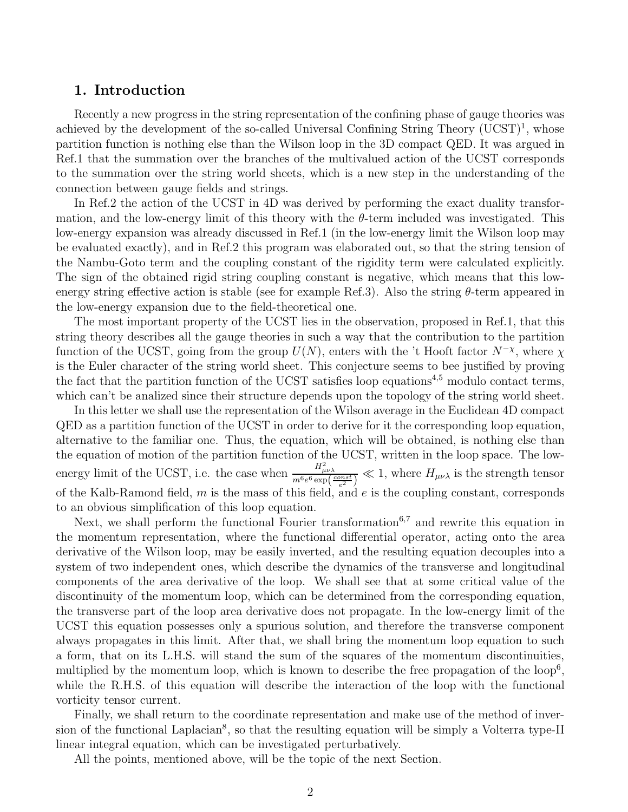## 1. Introduction

Recently a new progress in the string representation of the confining phase of gauge theories was achieved by the development of the so-called Universal Confining String Theory (UCST)<sup>1</sup>, whose partition function is nothing else than the Wilson loop in the 3D compact QED. It was argued in Ref.1 that the summation over the branches of the multivalued action of the UCST corresponds to the summation over the string world sheets, which is a new step in the understanding of the connection between gauge fields and strings.

In Ref.2 the action of the UCST in 4D was derived by performing the exact duality transformation, and the low-energy limit of this theory with the  $\theta$ -term included was investigated. This low-energy expansion was already discussed in Ref.1 (in the low-energy limit the Wilson loop may be evaluated exactly), and in Ref.2 this program was elaborated out, so that the string tension of the Nambu-Goto term and the coupling constant of the rigidity term were calculated explicitly. The sign of the obtained rigid string coupling constant is negative, which means that this lowenergy string effective action is stable (see for example Ref.3). Also the string  $\theta$ -term appeared in the low-energy expansion due to the field-theoretical one.

The most important property of the UCST lies in the observation, proposed in Ref.1, that this string theory describes all the gauge theories in such a way that the contribution to the partition function of the UCST, going from the group  $U(N)$ , enters with the 't Hooft factor  $N^{-\chi}$ , where  $\chi$ is the Euler character of the string world sheet. This conjecture seems to bee justified by proving the fact that the partition function of the UCST satisfies loop equations<sup>4,5</sup> modulo contact terms, which can't be analized since their structure depends upon the topology of the string world sheet.

In this letter we shall use the representation of the Wilson average in the Euclidean 4D compact QED as a partition function of the UCST in order to derive for it the corresponding loop equation, alternative to the familiar one. Thus, the equation, which will be obtained, is nothing else than the equation of motion of the partition function of the UCST, written in the loop space. The lowenergy limit of the UCST, i.e. the case when  $\frac{H_{\mu\nu\lambda}^2}{m^6 e^6 \exp\left(\frac{const}{e^2}\right)} \ll 1$ , where  $H_{\mu\nu\lambda}$  is the strength tensor of the Kalb-Ramond field,  $m$  is the mass of this field, and  $e$  is the coupling constant, corresponds to an obvious simplification of this loop equation.

Next, we shall perform the functional Fourier transformation<sup>6,7</sup> and rewrite this equation in the momentum representation, where the functional differential operator, acting onto the area derivative of the Wilson loop, may be easily inverted, and the resulting equation decouples into a system of two independent ones, which describe the dynamics of the transverse and longitudinal components of the area derivative of the loop. We shall see that at some critical value of the discontinuity of the momentum loop, which can be determined from the corresponding equation, the transverse part of the loop area derivative does not propagate. In the low-energy limit of the UCST this equation possesses only a spurious solution, and therefore the transverse component always propagates in this limit. After that, we shall bring the momentum loop equation to such a form, that on its L.H.S. will stand the sum of the squares of the momentum discontinuities, multiplied by the momentum loop, which is known to describe the free propagation of the loop<sup>6</sup>, while the R.H.S. of this equation will describe the interaction of the loop with the functional vorticity tensor current.

Finally, we shall return to the coordinate representation and make use of the method of inversion of the functional Laplacian<sup>8</sup>, so that the resulting equation will be simply a Volterra type-II linear integral equation, which can be investigated perturbatively.

All the points, mentioned above, will be the topic of the next Section.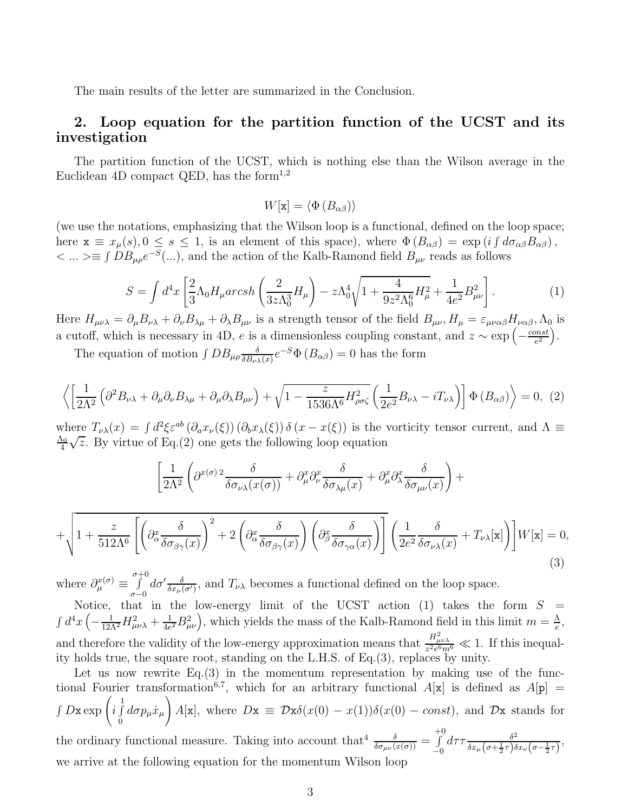The main results of the letter are summarized in the Conclusion.

## 2. Loop equation for the partition function of the UCST and its investigation

The partition function of the UCST, which is nothing else than the Wilson average in the Euclidean 4D compact QED, has the form<sup>1,2</sup>

 $W[\mathbf{x}] = \langle \Phi(B_{\alpha\beta})\rangle$ 

(we use the notations, emphasizing that the Wilson loop is a functional, defined on the loop space; here  $\mathbf{x} \equiv x_{\mu}(s), 0 \leq s \leq 1$ , is an element of this space), where  $\Phi(B_{\alpha\beta}) = \exp(i \int d\sigma_{\alpha\beta} B_{\alpha\beta})$ ,  $\langle \dots \rangle$  = ∫ DB<sub>μρ</sub>e<sup>-S</sup>(...), and the action of the Kalb-Ramond field B<sub>μν</sub> reads as follows

$$
S = \int d^4x \left[ \frac{2}{3} \Lambda_0 H_\mu \, \text{arcsh} \left( \frac{2}{3z \Lambda_0^3} H_\mu \right) - z \Lambda_0^4 \sqrt{1 + \frac{4}{9z^2 \Lambda_0^6} H_\mu^2} + \frac{1}{4e^2} B_{\mu\nu}^2 \right]. \tag{1}
$$

Here  $H_{\mu\nu\lambda} = \partial_{\mu}B_{\nu\lambda} + \partial_{\nu}B_{\lambda\mu} + \partial_{\lambda}B_{\mu\nu}$  is a strength tensor of the field  $B_{\mu\nu}$ ,  $H_{\mu} = \varepsilon_{\mu\nu\alpha\beta}H_{\nu\alpha\beta}$ ,  $\Lambda_0$  is a cutoff, which is necessary in 4D, e is a dimensionless coupling constant, and  $z \sim \exp\left(-\frac{const}{e^2}\right)$  $\frac{mst}{e^2}\Big).$ 

The equation of motion  $\int DB_{\mu\rho} \frac{\delta}{\delta B_{\mu\nu}}$  $\frac{\delta}{\delta B_{\nu\lambda}(x)}e^{-S}\Phi(B_{\alpha\beta})=0$  has the form

$$
\left\langle \left[ \frac{1}{2\Lambda^2} \left( \partial^2 B_{\nu\lambda} + \partial_\mu \partial_\nu B_{\lambda\mu} + \partial_\mu \partial_\lambda B_{\mu\nu} \right) + \sqrt{1 - \frac{z}{1536\Lambda^6} H_{\rho\sigma\zeta}^2} \left( \frac{1}{2e^2} B_{\nu\lambda} - i T_{\nu\lambda} \right) \right] \Phi \left( B_{\alpha\beta} \right) \right\rangle = 0, \tag{2}
$$

where  $T_{\nu\lambda}(x) = \int d^2\xi \varepsilon^{ab} (\partial_a x_{\nu}(\xi)) (\partial_b x_{\lambda}(\xi)) \delta(x - x(\xi))$  is the vorticity tensor current, and  $\Lambda \equiv$  $\Lambda_0$ 4  $\sqrt{z}$ . By virtue of Eq.(2) one gets the following loop equation

$$
\left[\frac{1}{2\Lambda^2} \left(\partial^{x(\sigma)\,2} \frac{\delta}{\delta \sigma_{\nu\lambda}(x(\sigma))} + \partial^x_\mu \partial^x_\nu \frac{\delta}{\delta \sigma_{\lambda\mu}(x)} + \partial^x_\mu \partial^x_\lambda \frac{\delta}{\delta \sigma_{\mu\nu}(x)}\right) + \right]
$$

$$
+\sqrt{1+\frac{z}{512\Lambda^6}\left[\left(\partial^x_{\alpha}\frac{\delta}{\delta\sigma_{\beta\gamma}(x)}\right)^2+2\left(\partial^x_{\alpha}\frac{\delta}{\delta\sigma_{\beta\gamma}(x)}\right)\left(\partial^x_{\beta}\frac{\delta}{\delta\sigma_{\gamma\alpha}(x)}\right)\right]\left(\frac{1}{2e^2}\frac{\delta}{\delta\sigma_{\nu\lambda}(x)}+T_{\nu\lambda}[\mathbf{x}]\right)\right]}W[\mathbf{x}]=0,
$$
\n(3)

where  $\partial_{\mu}^{x(\sigma)} \equiv \int_{0}^{\sigma+0}$  $\sigma-0$  $d\sigma' \frac{\delta}{\delta x_{\mu}(\sigma')}$ , and  $T_{\nu\lambda}$  becomes a functional defined on the loop space.

Notice, that in the low-energy limit of the UCST action (1) takes the form  $S =$  $\int d^4x \left( -\frac{1}{12\Lambda^2}H_{\mu\nu\lambda}^2 + \frac{1}{4e} \right)$  $\frac{1}{4e^2}B_{\mu\nu}^2\Big)$ , which yields the mass of the Kalb-Ramond field in this limit  $m=\frac{\Lambda}{e}$  $\frac{\Lambda}{e},$ and therefore the validity of the low-energy approximation means that  $\frac{H_{\mu\nu\lambda}^2}{z^2 e^6 m^6} \ll 1$ . If this inequality holds true, the square root, standing on the L.H.S. of Eq.(3), replaces by unity.

Let us now rewrite  $Eq.(3)$  in the momentum representation by making use of the functional Fourier transformation<sup>6,7</sup>, which for an arbitrary functional  $A[x]$  is defined as  $A[p] =$  $\int D\mathbf{x} \exp\left(i \int\limits_0^1$  $\int\limits_0 d\sigma p_\mu \dot x_\mu$  $\setminus$  $A[\mathbf{x}]$ , where  $D\mathbf{x} \equiv \mathcal{D}\mathbf{x}\delta(x(0) - x(1))\delta(x(0) - const)$ , and  $\mathcal{D}\mathbf{x}$  stands for the ordinary functional measure. Taking into account that  $\frac{\delta}{\delta \sigma_{\mu\nu}(x(\sigma))} = \int_{0}^{+0}$  $d\tau \tau \frac{\delta^2}{\delta r^2 (r+1-\delta)^2}$ 

 $\check{-}0$  $\frac{\delta^2}{\delta x_\mu \left(\sigma + \frac{1}{2}\tau\right) \delta x_\nu \left(\sigma - \frac{1}{2}\tau\right)},$ we arrive at the following equation for the momentum Wilson loop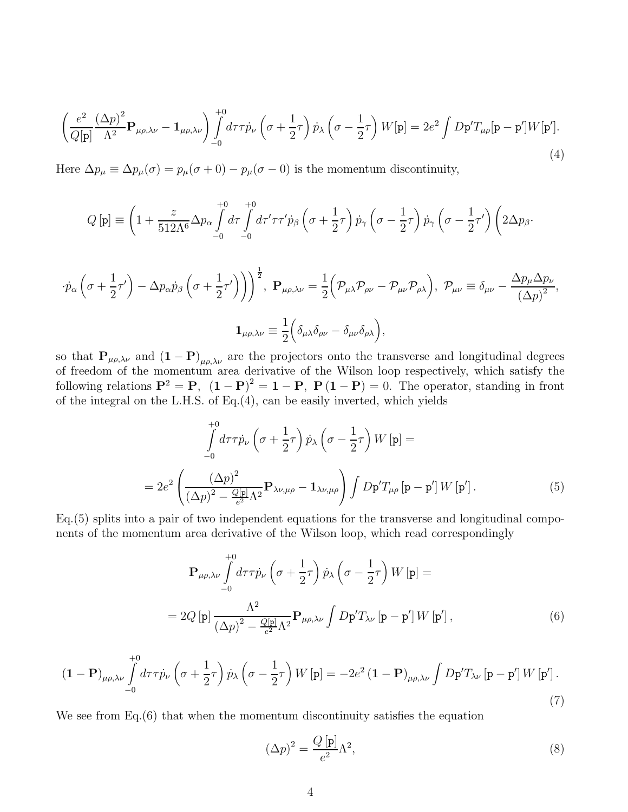$$
\left(\frac{e^2}{Q[\mathbf{p}]} \frac{(\Delta p)^2}{\Lambda^2} \mathbf{P}_{\mu\rho,\lambda\nu} - \mathbf{1}_{\mu\rho,\lambda\nu}\right) \int_{-0}^{+0} d\tau \tau \dot{p}_\nu \left(\sigma + \frac{1}{2}\tau\right) \dot{p}_\lambda \left(\sigma - \frac{1}{2}\tau\right) W[\mathbf{p}] = 2e^2 \int D\mathbf{p}' T_{\mu\rho} [\mathbf{p} - \mathbf{p}'] W[\mathbf{p}'].
$$
\n(4)

Here  $\Delta p_{\mu} \equiv \Delta p_{\mu}(\sigma) = p_{\mu}(\sigma + 0) - p_{\mu}(\sigma - 0)$  is the momentum discontinuity,

$$
Q\left[\mathbf{p}\right] \equiv \left(1 + \frac{z}{512\Lambda^6} \Delta p_\alpha \int\limits_{-0}^{+0} d\tau \int\limits_{-0}^{+0} d\tau' \tau \tau' \dot{p}_\beta \left(\sigma + \frac{1}{2}\tau\right) \dot{p}_\gamma \left(\sigma - \frac{1}{2}\tau\right) \dot{p}_\gamma \left(\sigma - \frac{1}{2}\tau'\right) \left(2\Delta p_\beta\right).
$$

$$
\begin{split}\n\cdot \dot{p}_{\alpha}\left(\sigma+\frac{1}{2}\tau'\right)-\Delta p_{\alpha}\dot{p}_{\beta}\left(\sigma+\frac{1}{2}\tau'\right)\right)\n\end{split}\n\begin{split}\n\cdot \dot{p}_{\alpha}\left(\mathcal{P}_{\mu\nu}\rho_{\nu\nu}+\frac{1}{2}\left(\mathcal{P}_{\mu\lambda}\mathcal{P}_{\rho\nu}-\mathcal{P}_{\mu\nu}\mathcal{P}_{\rho\lambda}\right),\ \mathcal{P}_{\mu\nu}\equiv \delta_{\mu\nu}-\frac{\Delta p_{\mu}\Delta p_{\nu}}{\left(\Delta p\right)^{2}},\n\end{split}
$$
\n
$$
\mathbf{1}_{\mu\rho,\lambda\nu}\equiv \frac{1}{2}\left(\delta_{\mu\lambda}\delta_{\rho\nu}-\delta_{\mu\nu}\delta_{\rho\lambda}\right),
$$

so that  $P_{\mu\rho,\lambda\nu}$  and  $(1 - P)_{\mu\rho,\lambda\nu}$  are the projectors onto the transverse and longitudinal degrees of freedom of the momentum area derivative of the Wilson loop respectively, which satisfy the following relations  $\mathbf{P}^2 = \mathbf{P}$ ,  $(\mathbf{1} - \mathbf{P})^2 = \mathbf{1} - \mathbf{P}$ ,  $\mathbf{P}(\mathbf{1} - \mathbf{P}) = 0$ . The operator, standing in front of the integral on the L.H.S. of Eq.(4), can be easily inverted, which yields

$$
\int_{-0}^{+0} d\tau \tau \dot{p}_{\nu} \left( \sigma + \frac{1}{2} \tau \right) \dot{p}_{\lambda} \left( \sigma - \frac{1}{2} \tau \right) W [\mathbf{p}] =
$$
\n
$$
= 2e^2 \left( \frac{(\Delta p)^2}{(\Delta p)^2 - \frac{Q[\mathbf{p}]}{\epsilon^2} \Lambda^2} \mathbf{P}_{\lambda \nu, \mu \rho} - \mathbf{1}_{\lambda \nu, \mu \rho} \right) \int D\mathbf{p}' T_{\mu \rho} [\mathbf{p} - \mathbf{p}'] W [\mathbf{p}'] .
$$
\n(5)

Eq.(5) splits into a pair of two independent equations for the transverse and longitudinal components of the momentum area derivative of the Wilson loop, which read correspondingly

$$
\mathbf{P}_{\mu\rho,\lambda\nu} \int_{-0}^{+0} d\tau \tau \dot{p}_{\nu} \left( \sigma + \frac{1}{2} \tau \right) \dot{p}_{\lambda} \left( \sigma - \frac{1}{2} \tau \right) W [\mathbf{p}] =
$$
  
= 2Q [\mathbf{p}] \frac{\Lambda^2}{\left( \Delta p \right)^2 - \frac{Q[\mathbf{p}]}{\epsilon^2} \Lambda^2} \mathbf{P}\_{\mu\rho,\lambda\nu} \int D\mathbf{p}' T\_{\lambda\nu} [\mathbf{p} - \mathbf{p}'] W [\mathbf{p}'], \tag{6}

$$
(\mathbf{1} - \mathbf{P})_{\mu\rho,\lambda\nu} \int_{-0}^{+0} d\tau \tau \dot{p}_{\nu} \left(\sigma + \frac{1}{2}\tau\right) \dot{p}_{\lambda} \left(\sigma - \frac{1}{2}\tau\right) W[\mathbf{p}] = -2e^2 \left(\mathbf{1} - \mathbf{P}\right)_{\mu\rho,\lambda\nu} \int D\mathbf{p}' T_{\lambda\nu} [\mathbf{p} - \mathbf{p}'] W[\mathbf{p}'] \,. \tag{7}
$$

We see from Eq.(6) that when the momentum discontinuity satisfies the equation

$$
(\Delta p)^2 = \frac{Q[\mathbf{p}]}{e^2} \Lambda^2,\tag{8}
$$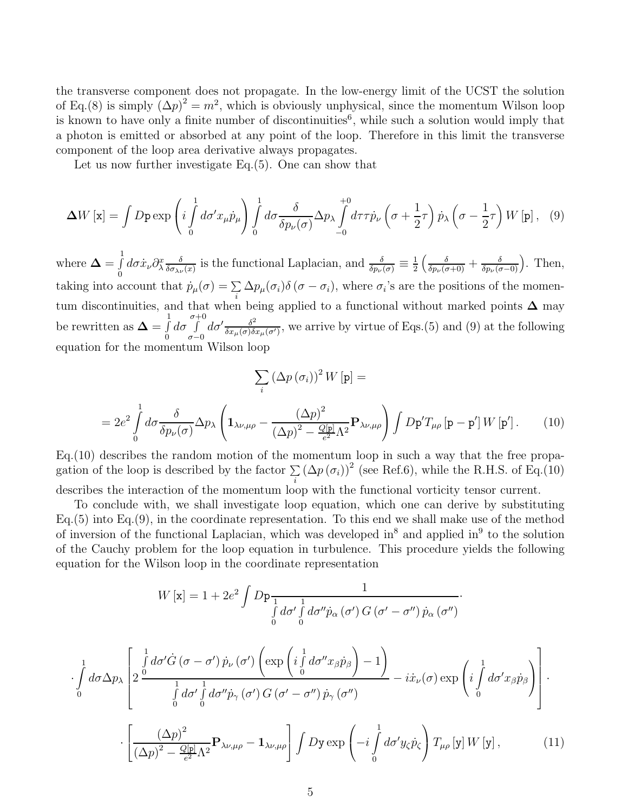the transverse component does not propagate. In the low-energy limit of the UCST the solution of Eq.(8) is simply  $(\Delta p)^2 = m^2$ , which is obviously unphysical, since the momentum Wilson loop is known to have only a finite number of discontinuities<sup>6</sup>, while such a solution would imply that a photon is emitted or absorbed at any point of the loop. Therefore in this limit the transverse component of the loop area derivative always propagates.

Let us now further investigate Eq.(5). One can show that

$$
\Delta W[\mathbf{x}] = \int D\mathbf{p} \exp\left(i \int_{0}^{1} d\sigma' x_{\mu} \dot{p}_{\mu}\right) \int_{0}^{1} d\sigma \frac{\delta}{\delta p_{\nu}(\sigma)} \Delta p_{\lambda} \int_{-0}^{+0} d\tau \tau \dot{p}_{\nu} \left(\sigma + \frac{1}{2}\tau\right) \dot{p}_{\lambda} \left(\sigma - \frac{1}{2}\tau\right) W[\mathbf{p}], \quad (9)
$$

where  $\boldsymbol{\Delta} = \int_{0}^{1}$  $\int\limits_0^{\tau}d\sigma\dot{x}_{\nu}\partial_{\lambda}^{x}\frac{\delta}{\delta\sigma_{\lambda\nu}}$  $\frac{\delta}{\delta \sigma_{\lambda \nu}(x)}$  is the functional Laplacian, and  $\frac{\delta}{\delta p_{\nu}(\sigma)} \equiv \frac{1}{2}$  $\frac{1}{2} \left( \frac{\delta}{\delta p_{\nu}(\sigma+0)} + \frac{\delta}{\delta p_{\nu}(\sigma-0)} \right)$ . Then, taking into account that  $\dot{p}_{\mu}(\sigma) = \sum_{i} \Delta p_{\mu}(\sigma_i) \delta(\sigma - \sigma_i)$ , where  $\sigma_i$ 's are the positions of the momentum discontinuities, and that when being applied to a functional without marked points  $\Delta$  may be rewritten as  $\mathbf{\Delta} = \int_{0}^{1}$ 0  $d\sigma \int\limits^{\sigma+0}$  $\sigma - 0$  $d\sigma' \frac{\delta^2}{\delta x^2}$  $\frac{\delta^2}{\delta x_\mu(\sigma)\delta x_\mu(\sigma')}$ , we arrive by virtue of Eqs.(5) and (9) at the following equation for the momentum Wilson loop

$$
\sum_{i} (\Delta p (\sigma_i))^2 W[\mathbf{p}] =
$$
  
=  $2e^2 \int_0^1 d\sigma \frac{\delta}{\delta p_\nu(\sigma)} \Delta p_\lambda \left( \mathbf{1}_{\lambda \nu, \mu \rho} - \frac{(\Delta p)^2}{(\Delta p)^2 - \frac{Q[\mathbf{p}]}{\epsilon^2} \Lambda^2} \mathbf{P}_{\lambda \nu, \mu \rho} \right) \int D\mathbf{p}' T_{\mu \rho} [\mathbf{p} - \mathbf{p}'] W[\mathbf{p}'].$  (10)

Eq.(10) describes the random motion of the momentum loop in such a way that the free propagation of the loop is described by the factor  $\sum_i (\Delta p(\sigma_i))^2$  (see Ref.6), while the R.H.S. of Eq.(10)

describes the interaction of the momentum loop with the functional vorticity tensor current.

To conclude with, we shall investigate loop equation, which one can derive by substituting Eq.(5) into Eq.(9), in the coordinate representation. To this end we shall make use of the method of inversion of the functional Laplacian, which was developed in<sup>8</sup> and applied in<sup>9</sup> to the solution of the Cauchy problem for the loop equation in turbulence. This procedure yields the following equation for the Wilson loop in the coordinate representation

$$
W[\mathbf{x}] = 1 + 2e^2 \int D\mathbf{p} \frac{1}{\int d\sigma' \int d\sigma'' \dot{p}_\alpha(\sigma') G(\sigma' - \sigma'') \dot{p}_\alpha(\sigma'')}
$$

·

$$
\cdot \int_{0}^{1} d\sigma \Delta p_{\lambda} \left[ 2 \frac{\int_{0}^{1} d\sigma' \dot{G} (\sigma - \sigma') \dot{p}_{\nu} (\sigma') \left( \exp \left( i \int_{0}^{1} d\sigma'' x_{\beta} \dot{p}_{\beta} \right) - 1 \right)}{\int_{0}^{1} d\sigma' \int_{0}^{1} d\sigma'' \dot{p}_{\gamma} (\sigma') G (\sigma' - \sigma'') \dot{p}_{\gamma} (\sigma'')} - i \dot{x}_{\nu} (\sigma) \exp \left( i \int_{0}^{1} d\sigma' x_{\beta} \dot{p}_{\beta} \right) \right].
$$

$$
\cdot \left[ \frac{(\Delta p)^{2}}{(\Delta p)^{2} - \frac{Q[\mathbf{p}]}{\epsilon^{2}} \Lambda^{2}} \mathbf{P}_{\lambda \nu, \mu \rho} - \mathbf{1}_{\lambda \nu, \mu \rho} \right] \int Dy \exp \left( -i \int_{0}^{1} d\sigma' y_{\zeta} \dot{p}_{\zeta} \right) T_{\mu \rho} [\mathbf{y}] W [\mathbf{y}], \qquad (11)
$$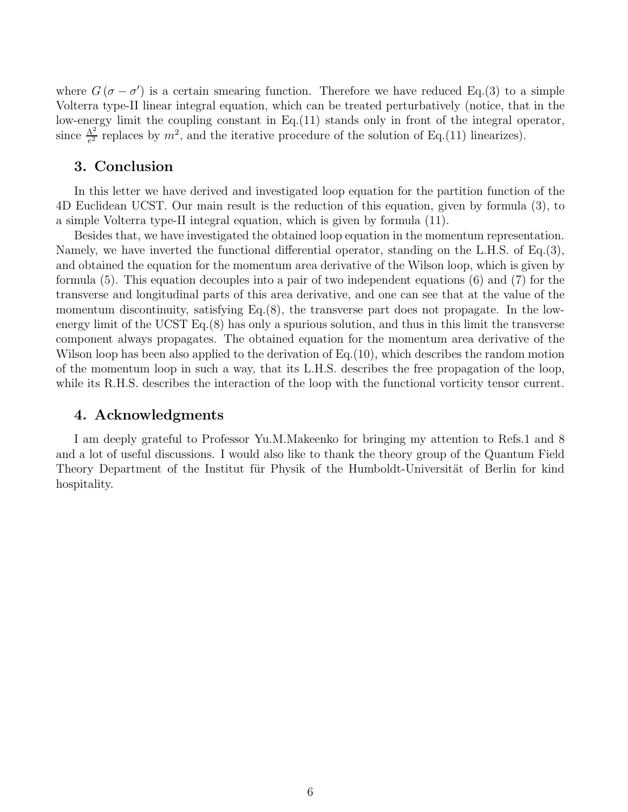where  $G(\sigma - \sigma')$  is a certain smearing function. Therefore we have reduced Eq.(3) to a simple Volterra type-II linear integral equation, which can be treated perturbatively (notice, that in the low-energy limit the coupling constant in Eq. (11) stands only in front of the integral operator, since  $\frac{\Lambda^2}{e^2}$  replaces by  $m^2$ , and the iterative procedure of the solution of Eq.(11) linearizes).

### 3. Conclusion

In this letter we have derived and investigated loop equation for the partition function of the 4D Euclidean UCST. Our main result is the reduction of this equation, given by formula (3), to a simple Volterra type-II integral equation, which is given by formula (11).

Besides that, we have investigated the obtained loop equation in the momentum representation. Namely, we have inverted the functional differential operator, standing on the L.H.S. of Eq.(3), and obtained the equation for the momentum area derivative of the Wilson loop, which is given by formula (5). This equation decouples into a pair of two independent equations (6) and (7) for the transverse and longitudinal parts of this area derivative, and one can see that at the value of the momentum discontinuity, satisfying Eq.(8), the transverse part does not propagate. In the lowenergy limit of the UCST Eq.(8) has only a spurious solution, and thus in this limit the transverse component always propagates. The obtained equation for the momentum area derivative of the Wilson loop has been also applied to the derivation of Eq.(10), which describes the random motion of the momentum loop in such a way, that its L.H.S. describes the free propagation of the loop, while its R.H.S. describes the interaction of the loop with the functional vorticity tensor current.

### 4. Acknowledgments

I am deeply grateful to Professor Yu.M.Makeenko for bringing my attention to Refs.1 and 8 and a lot of useful discussions. I would also like to thank the theory group of the Quantum Field Theory Department of the Institut für Physik of the Humboldt-Universität of Berlin for kind hospitality.